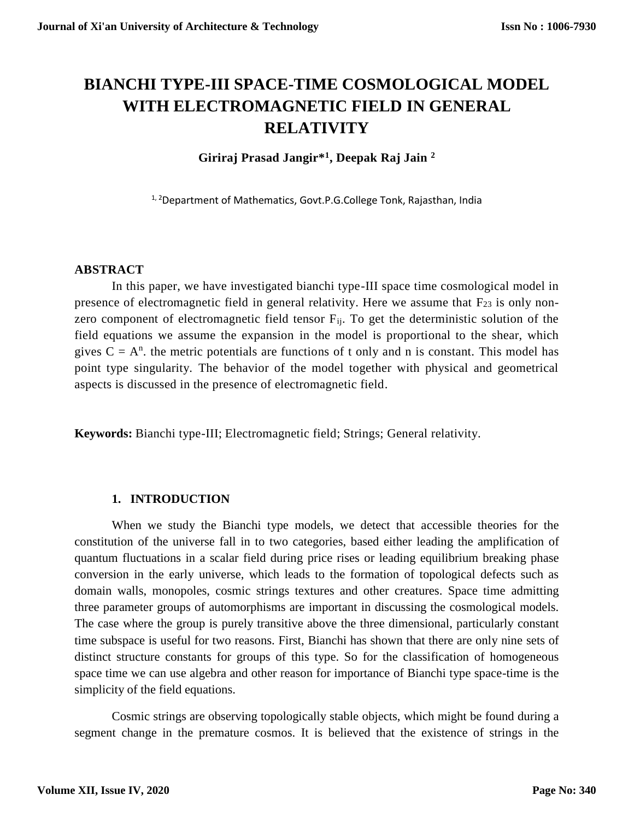# **BIANCHI TYPE-III SPACE-TIME COSMOLOGICAL MODEL WITH ELECTROMAGNETIC FIELD IN GENERAL RELATIVITY**

**Giriraj Prasad Jangir\*<sup>1</sup> , Deepak Raj Jain <sup>2</sup>**

<sup>1, 2</sup>Department of Mathematics, Govt.P.G.College Tonk, Rajasthan, India

# **ABSTRACT**

In this paper, we have investigated bianchi type-III space time cosmological model in presence of electromagnetic field in general relativity. Here we assume that  $F_{23}$  is only nonzero component of electromagnetic field tensor  $F_{ii}$ . To get the deterministic solution of the field equations we assume the expansion in the model is proportional to the shear, which gives  $C = A<sup>n</sup>$ , the metric potentials are functions of t only and n is constant. This model has point type singularity. The behavior of the model together with physical and geometrical aspects is discussed in the presence of electromagnetic field.

**Keywords:** Bianchi type-III; Electromagnetic field; Strings; General relativity.

# **1. INTRODUCTION**

When we study the Bianchi type models, we detect that accessible theories for the constitution of the universe fall in to two categories, based either leading the amplification of quantum fluctuations in a scalar field during price rises or leading equilibrium breaking phase conversion in the early universe, which leads to the formation of topological defects such as domain walls, monopoles, cosmic strings textures and other creatures. Space time admitting three parameter groups of automorphisms are important in discussing the cosmological models. The case where the group is purely transitive above the three dimensional, particularly constant time subspace is useful for two reasons. First, Bianchi has shown that there are only nine sets of distinct structure constants for groups of this type. So for the classification of homogeneous space time we can use algebra and other reason for importance of Bianchi type space-time is the simplicity of the field equations.

Cosmic strings are observing topologically stable objects, which might be found during a segment change in the premature cosmos. It is believed that the existence of strings in the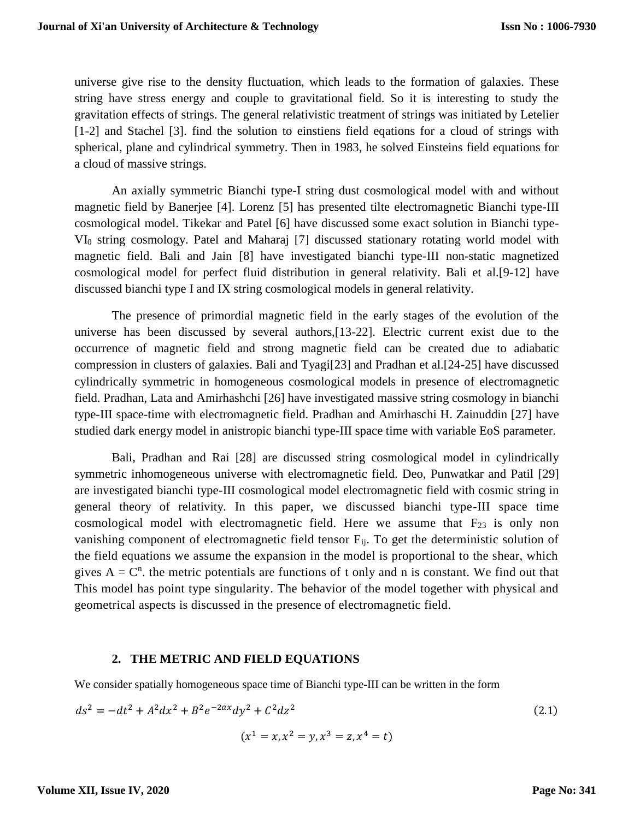universe give rise to the density fluctuation, which leads to the formation of galaxies. These string have stress energy and couple to gravitational field. So it is interesting to study the gravitation effects of strings. The general relativistic treatment of strings was initiated by Letelier [1-2] and Stachel [3]. find the solution to einstiens field eqations for a cloud of strings with spherical, plane and cylindrical symmetry. Then in 1983, he solved Einsteins field equations for a cloud of massive strings.

An axially symmetric Bianchi type-I string dust cosmological model with and without magnetic field by Banerjee [4]. Lorenz [5] has presented tilte electromagnetic Bianchi type-III cosmological model. Tikekar and Patel [6] have discussed some exact solution in Bianchi type-VI<sup>0</sup> string cosmology. Patel and Maharaj [7] discussed stationary rotating world model with magnetic field. Bali and Jain [8] have investigated bianchi type-III non-static magnetized cosmological model for perfect fluid distribution in general relativity. Bali et al.[9-12] have discussed bianchi type I and IX string cosmological models in general relativity.

The presence of primordial magnetic field in the early stages of the evolution of the universe has been discussed by several authors,[13-22]. Electric current exist due to the occurrence of magnetic field and strong magnetic field can be created due to adiabatic compression in clusters of galaxies. Bali and Tyagi[23] and Pradhan et al.[24-25] have discussed cylindrically symmetric in homogeneous cosmological models in presence of electromagnetic field. Pradhan, Lata and Amirhashchi [26] have investigated massive string cosmology in bianchi type-III space-time with electromagnetic field. Pradhan and Amirhaschi H. Zainuddin [27] have studied dark energy model in anistropic bianchi type-III space time with variable EoS parameter.

Bali, Pradhan and Rai [28] are discussed string cosmological model in cylindrically symmetric inhomogeneous universe with electromagnetic field. Deo, Punwatkar and Patil [29] are investigated bianchi type-III cosmological model electromagnetic field with cosmic string in general theory of relativity. In this paper, we discussed bianchi type-III space time cosmological model with electromagnetic field. Here we assume that  $F_{23}$  is only non vanishing component of electromagnetic field tensor F<sub>ij</sub>. To get the deterministic solution of the field equations we assume the expansion in the model is proportional to the shear, which gives  $A = C<sup>n</sup>$ , the metric potentials are functions of t only and n is constant. We find out that This model has point type singularity. The behavior of the model together with physical and geometrical aspects is discussed in the presence of electromagnetic field.

# **2. THE METRIC AND FIELD EQUATIONS**

We consider spatially homogeneous space time of Bianchi type-III can be written in the form

$$
ds^{2} = -dt^{2} + A^{2}dx^{2} + B^{2}e^{-2ax}dy^{2} + C^{2}dz^{2}
$$
\n
$$
(x^{1} = x, x^{2} = y, x^{3} = z, x^{4} = t)
$$
\n(2.1)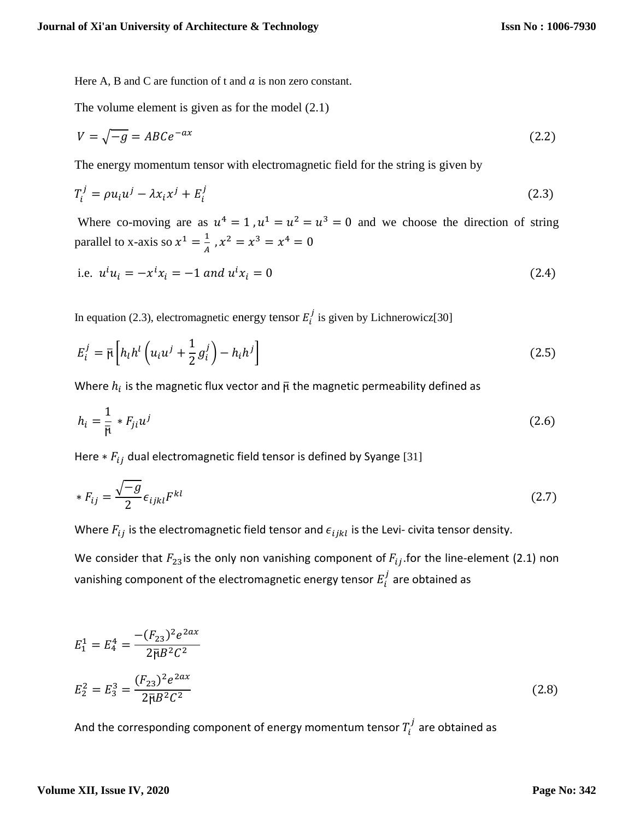Here A, B and C are function of t and  $\alpha$  is non zero constant.

The volume element is given as for the model (2.1)

$$
V = \sqrt{-g} = ABCe^{-ax} \tag{2.2}
$$

The energy momentum tensor with electromagnetic field for the string is given by

$$
T_i^j = \rho u_i u^j - \lambda x_i x^j + E_i^j \tag{2.3}
$$

Where co-moving are as  $u^4 = 1$ ,  $u^1 = u^2 = u^3 = 0$  and we choose the direction of string parallel to x-axis so  $x^1 = \frac{1}{4}$  $\frac{1}{A}$ ,  $x^2 = x^3 = x^4 = 0$ 

i.e. 
$$
u^i u_i = -x^i x_i = -1
$$
 and  $u^i x_i = 0$  (2.4)

In equation (2.3), electromagnetic energy tensor  $E_i^j$  is given by Lichnerowicz[30]

$$
E_i^j = \bar{\mu} \left[ h_l h^l \left( u_i u^j + \frac{1}{2} g_i^j \right) - h_i h^j \right]
$$
 (2.5)

Where  $h_i$  is the magnetic flux vector and  $\bar{\bm{\mathsf{p}}}$  the magnetic permeability defined as

$$
h_i = \frac{1}{\overline{\mu}} * F_{ji} u^j \tag{2.6}
$$

Here  $* F_{ij}$  dual electromagnetic field tensor is defined by Syange [31]

$$
*F_{ij} = \frac{\sqrt{-g}}{2} \epsilon_{ijkl} F^{kl} \tag{2.7}
$$

Where  $F_{ij}$  is the electromagnetic field tensor and  $\epsilon_{ijkl}$  is the Levi- civita tensor density.

We consider that  $F_{23}$  is the only non vanishing component of  $F_{ij}$  for the line-element (2.1) non vanishing component of the electromagnetic energy tensor  $E_i^{\,j}$  are obtained as

$$
E_1^1 = E_4^4 = \frac{-(F_{23})^2 e^{2ax}}{2\overline{\mu}B^2 C^2}
$$
  

$$
E_2^2 = E_3^3 = \frac{(F_{23})^2 e^{2ax}}{2\overline{\mu}B^2 C^2}
$$
 (2.8)

And the corresponding component of energy momentum tensor  $T_i^{\,j}$  are obtained as

#### **Volume XII, Issue IV, 2020**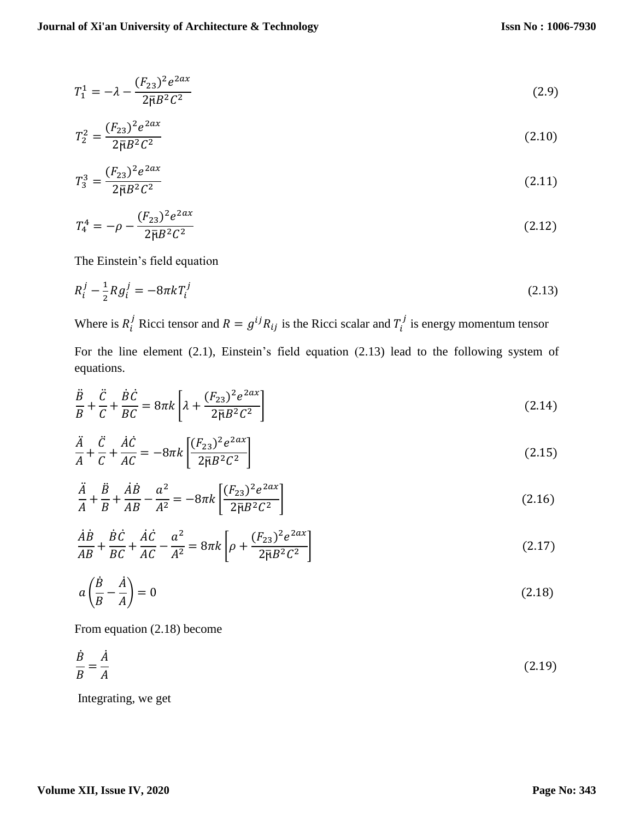$$
T_1^1 = -\lambda - \frac{(F_{23})^2 e^{2ax}}{2\bar{\mathfrak{p}}B^2 C^2} \tag{2.9}
$$

$$
T_2^2 = \frac{(F_{23})^2 e^{2ax}}{2\overline{\mu}B^2 C^2}
$$
 (2.10)

$$
T_3^3 = \frac{(F_{23})^2 e^{2ax}}{2\bar{\mathfrak{p}}B^2 C^2} \tag{2.11}
$$

$$
T_4^4 = -\rho - \frac{(F_{23})^2 e^{2ax}}{2\bar{\mu}B^2 C^2} \tag{2.12}
$$

The Einstein's field equation

$$
R_i^j - \frac{1}{2} R g_i^j = -8\pi k T_i^j \tag{2.13}
$$

Where is  $R_i^j$  Ricci tensor and  $R = g^{ij}R_{ij}$  is the Ricci scalar and  $T_i^j$  is energy momentum tensor

For the line element (2.1), Einstein's field equation (2.13) lead to the following system of equations.

$$
\frac{\ddot{B}}{B} + \frac{\ddot{C}}{C} + \frac{\dot{B}\dot{C}}{BC} = 8\pi k \left[ \lambda + \frac{(F_{23})^2 e^{2ax}}{2\bar{\mu}B^2 C^2} \right]
$$
\n(2.14)

$$
\frac{\ddot{A}}{A} + \frac{\ddot{C}}{C} + \frac{\dot{A}\dot{C}}{AC} = -8\pi k \left[ \frac{(F_{23})^2 e^{2ax}}{2\bar{B}B^2 C^2} \right]
$$
\n(2.15)

$$
\frac{\ddot{A}}{A} + \frac{\ddot{B}}{B} + \frac{\dot{A}\dot{B}}{AB} - \frac{a^2}{A^2} = -8\pi k \left[ \frac{(F_{23})^2 e^{2ax}}{2\bar{B}B^2 C^2} \right]
$$
\n(2.16)

$$
\frac{\dot{A}\dot{B}}{AB} + \frac{\dot{B}\dot{C}}{BC} + \frac{\dot{A}\dot{C}}{AC} - \frac{a^2}{A^2} = 8\pi k \left[ \rho + \frac{(F_{23})^2 e^{2ax}}{2\bar{B}B^2 C^2} \right]
$$
\n(2.17)

$$
a\left(\frac{\dot{B}}{B} - \frac{\dot{A}}{A}\right) = 0\tag{2.18}
$$

From equation (2.18) become

$$
\frac{\dot{B}}{B} = \frac{\dot{A}}{A} \tag{2.19}
$$

Integrating, we get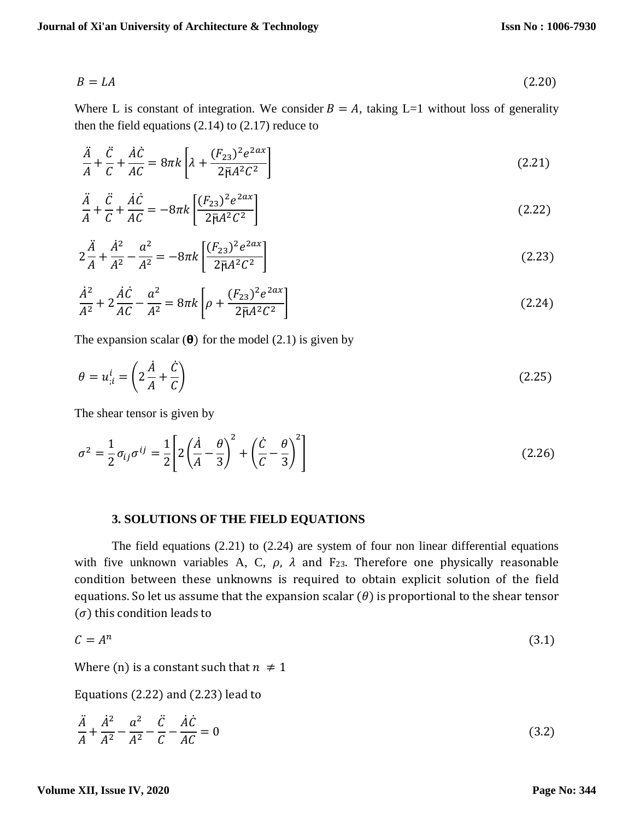$$
B = LA \tag{2.20}
$$

Where L is constant of integration. We consider  $B = A$ , taking L=1 without loss of generality then the field equations  $(2.14)$  to  $(2.17)$  reduce to

$$
\frac{\ddot{A}}{A} + \frac{\ddot{C}}{C} + \frac{\dot{A}\dot{C}}{AC} = 8\pi k \left[ \lambda + \frac{(F_{23})^2 e^{2ax}}{2\bar{\mu}A^2 C^2} \right]
$$
\n(2.21)

$$
\frac{\ddot{A}}{A} + \frac{\ddot{C}}{C} + \frac{\dot{A}\dot{C}}{AC} = -8\pi k \left[ \frac{(F_{23})^2 e^{2ax}}{2\bar{p}A^2 C^2} \right]
$$
\n(2.22)

$$
2\frac{\ddot{A}}{A} + \frac{\dot{A}^2}{A^2} - \frac{a^2}{A^2} = -8\pi k \left[ \frac{(F_{23})^2 e^{2ax}}{2\bar{\mu}A^2 C^2} \right]
$$
 (2.23)

$$
\frac{\dot{A}^2}{A^2} + 2\frac{\dot{A}\dot{C}}{AC} - \frac{a^2}{A^2} = 8\pi k \left[ \rho + \frac{(F_{23})^2 e^{2ax}}{2\bar{\mu}A^2 C^2} \right]
$$
\n(2.24)

The expansion scalar  $(\theta)$  for the model (2.1) is given by

$$
\theta = u_{i}^{i} = \left( 2\frac{\dot{A}}{A} + \frac{\dot{C}}{C} \right)
$$
\n(2.25)

The shear tensor is given by

$$
\sigma^2 = \frac{1}{2}\sigma_{ij}\sigma^{ij} = \frac{1}{2}\left[2\left(\frac{\dot{A}}{A} - \frac{\theta}{3}\right)^2 + \left(\frac{\dot{C}}{C} - \frac{\theta}{3}\right)^2\right]
$$
(2.26)

#### **3. SOLUTIONS OF THE FIELD EQUATIONS**

The field equations (2.21) to (2.24) are system of four non linear differential equations with five unknown variables A, C,  $\rho$ ,  $\lambda$  and F<sub>23</sub>. Therefore one physically reasonable condition between these unknowns is required to obtain explicit solution of the field equations. So let us assume that the expansion scalar  $(\theta)$  is proportional to the shear tensor  $(\sigma)$  this condition leads to

$$
C = A^n \tag{3.1}
$$

Where (n) is a constant such that  $n \neq 1$ 

Equations (2.22) and (2.23) lead to

$$
\frac{\ddot{A}}{A} + \frac{\dot{A}^2}{A^2} - \frac{a^2}{A^2} - \frac{\ddot{C}}{C} - \frac{\dot{A}\dot{C}}{AC} = 0
$$
\n(3.2)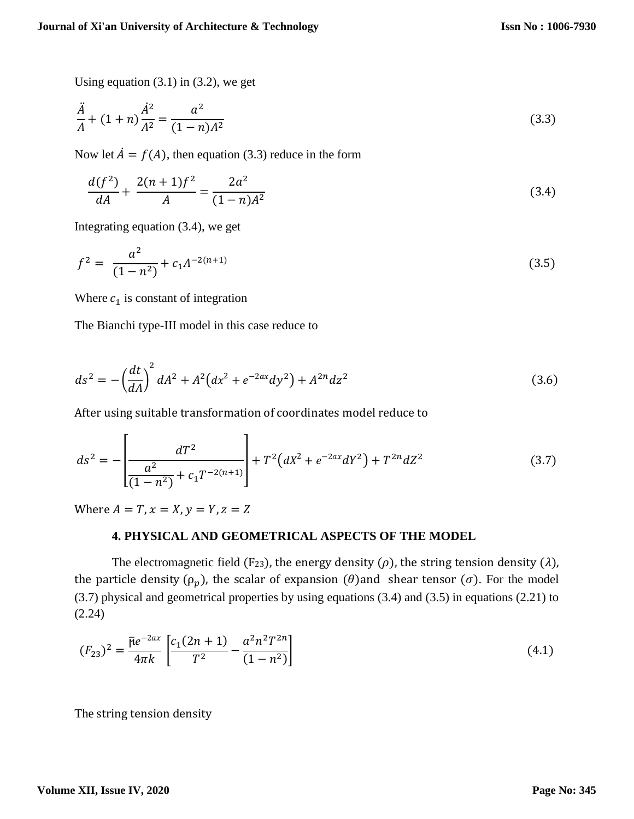Using equation  $(3.1)$  in  $(3.2)$ , we get

$$
\frac{\ddot{A}}{A} + (1+n)\frac{\dot{A}^2}{A^2} = \frac{a^2}{(1-n)A^2}
$$
\n(3.3)

Now let  $\dot{A} = f(A)$ , then equation (3.3) reduce in the form

$$
\frac{d(f^2)}{dA} + \frac{2(n+1)f^2}{A} = \frac{2a^2}{(1-n)A^2}
$$
 (3.4)

Integrating equation (3.4), we get

$$
f^2 = \frac{a^2}{(1 - n^2)} + c_1 A^{-2(n+1)}
$$
 (3.5)

Where  $c_1$  is constant of integration

The Bianchi type-III model in this case reduce to

$$
ds^{2} = -\left(\frac{dt}{dA}\right)^{2} dA^{2} + A^{2} \left(dx^{2} + e^{-2ax} dy^{2}\right) + A^{2n} dz^{2}
$$
\n(3.6)

After using suitable transformation of coordinates model reduce to

$$
ds^{2} = -\left[\frac{dT^{2}}{(1-n^{2})} + c_{1}T^{-2(n+1)}\right] + T^{2}\left(dX^{2} + e^{-2ax}dY^{2}\right) + T^{2n}dZ^{2}
$$
\n(3.7)

Where  $A = T$ ,  $x = X$ ,  $y = Y$ ,  $z = Z$ 

## **4. PHYSICAL AND GEOMETRICAL ASPECTS OF THE MODEL**

The electromagnetic field (F<sub>23</sub>), the energy density ( $\rho$ ), the string tension density ( $\lambda$ ), the particle density ( $\rho_p$ ), the scalar of expansion ( $\theta$ ) and shear tensor ( $\sigma$ ). For the model (3.7) physical and geometrical properties by using equations (3.4) and (3.5) in equations (2.21) to (2.24)

$$
(F_{23})^2 = \frac{\bar{\mu}e^{-2ax}}{4\pi k} \left[ \frac{c_1(2n+1)}{T^2} - \frac{a^2n^2T^{2n}}{(1-n^2)} \right]
$$
(4.1)

The string tension density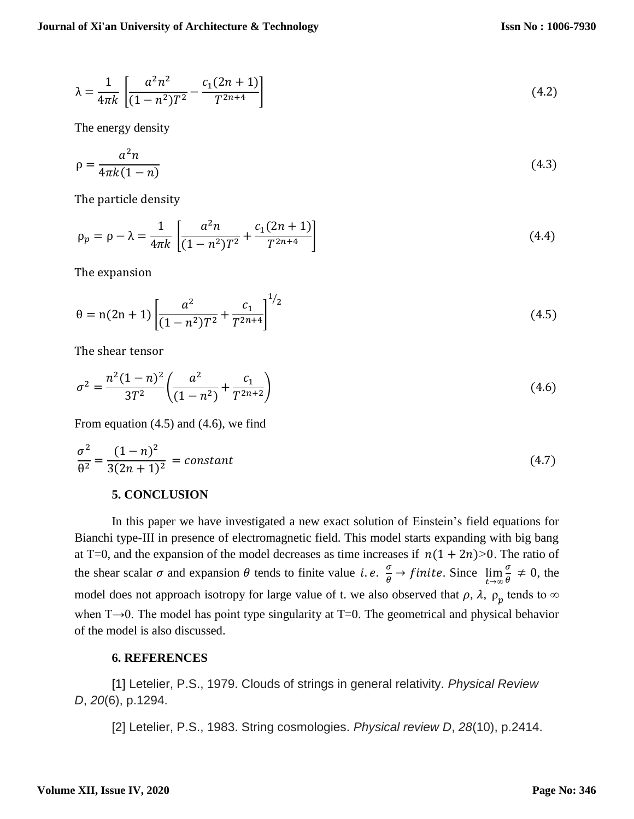$$
\lambda = \frac{1}{4\pi k} \left[ \frac{a^2 n^2}{(1 - n^2) T^2} - \frac{c_1 (2n + 1)}{T^{2n + 4}} \right]
$$
(4.2)

The energy density

$$
\rho = \frac{a^2 n}{4\pi k(1-n)}\tag{4.3}
$$

The particle density

$$
\rho_p = \rho - \lambda = \frac{1}{4\pi k} \left[ \frac{a^2 n}{(1 - n^2)T^2} + \frac{c_1 (2n + 1)}{T^{2n + 4}} \right] \tag{4.4}
$$

The expansion

$$
\theta = n(2n+1) \left[ \frac{a^2}{(1-n^2)T^2} + \frac{c_1}{T^{2n+4}} \right]^{1/2}
$$
\n(4.5)

The shear tensor

$$
\sigma^2 = \frac{n^2(1-n)^2}{3T^2} \left( \frac{a^2}{(1-n^2)} + \frac{c_1}{T^{2n+2}} \right)
$$
(4.6)

From equation (4.5) and (4.6), we find

$$
\frac{\sigma^2}{\theta^2} = \frac{(1-n)^2}{3(2n+1)^2} = constant
$$
\n(4.7)

## **5. CONCLUSION**

In this paper we have investigated a new exact solution of Einstein's field equations for Bianchi type-III in presence of electromagnetic field. This model starts expanding with big bang at T=0, and the expansion of the model decreases as time increases if  $n(1 + 2n)$ >0. The ratio of the shear scalar  $\sigma$  and expansion  $\theta$  tends to finite value *i.e.*  $\frac{\sigma}{\theta}$  $\frac{\partial}{\partial \theta} \rightarrow f$ *inite*. Since  $\lim_{t \to \infty}$  $\sigma$  $\frac{\theta}{\theta} \neq 0$ , the model does not approach isotropy for large value of t. we also observed that  $\rho$ ,  $\lambda$ ,  $\rho_p$  tends to  $\infty$ when T→0. The model has point type singularity at T=0. The geometrical and physical behavior of the model is also discussed.

## **6. REFERENCES**

[1] Letelier, P.S., 1979. Clouds of strings in general relativity. *Physical Review D*, *20*(6), p.1294.

[2] Letelier, P.S., 1983. String cosmologies. *Physical review D*, *28*(10), p.2414.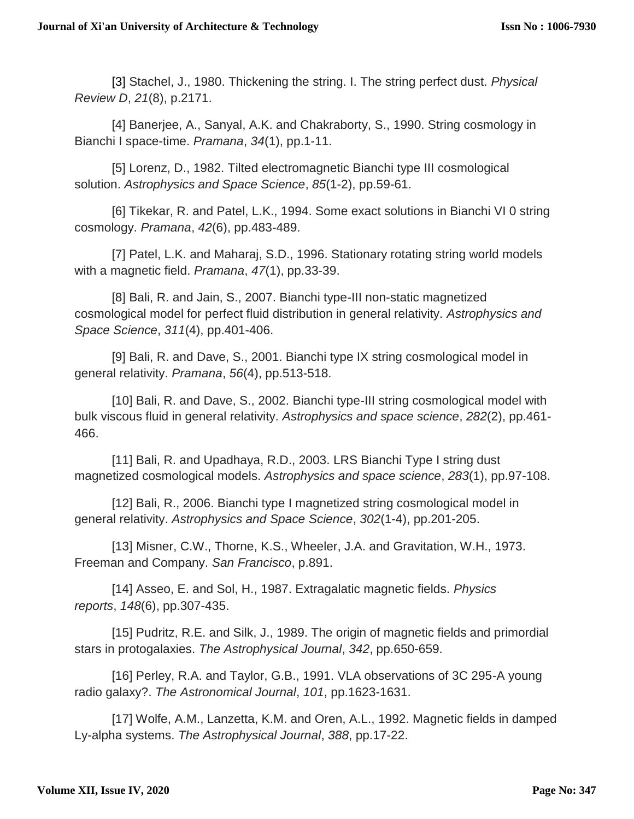[3] Stachel, J., 1980. Thickening the string. I. The string perfect dust. *Physical Review D*, *21*(8), p.2171.

[4] Banerjee, A., Sanyal, A.K. and Chakraborty, S., 1990. String cosmology in Bianchi I space-time. *Pramana*, *34*(1), pp.1-11.

[5] Lorenz, D., 1982. Tilted electromagnetic Bianchi type III cosmological solution. *Astrophysics and Space Science*, *85*(1-2), pp.59-61.

[6] Tikekar, R. and Patel, L.K., 1994. Some exact solutions in Bianchi VI 0 string cosmology. *Pramana*, *42*(6), pp.483-489.

[7] Patel, L.K. and Maharaj, S.D., 1996. Stationary rotating string world models with a magnetic field. *Pramana*, *47*(1), pp.33-39.

[8] Bali, R. and Jain, S., 2007. Bianchi type-III non-static magnetized cosmological model for perfect fluid distribution in general relativity. *Astrophysics and Space Science*, *311*(4), pp.401-406.

[9] Bali, R. and Dave, S., 2001. Bianchi type IX string cosmological model in general relativity. *Pramana*, *56*(4), pp.513-518.

[10] Bali, R. and Dave, S., 2002. Bianchi type-III string cosmological model with bulk viscous fluid in general relativity. *Astrophysics and space science*, *282*(2), pp.461- 466.

[11] Bali, R. and Upadhaya, R.D., 2003. LRS Bianchi Type I string dust magnetized cosmological models. *Astrophysics and space science*, *283*(1), pp.97-108.

[12] Bali, R., 2006. Bianchi type I magnetized string cosmological model in general relativity. *Astrophysics and Space Science*, *302*(1-4), pp.201-205.

[13] Misner, C.W., Thorne, K.S., Wheeler, J.A. and Gravitation, W.H., 1973. Freeman and Company. *San Francisco*, p.891.

[14] Asseo, E. and Sol, H., 1987. Extragalatic magnetic fields. *Physics reports*, *148*(6), pp.307-435.

[15] Pudritz, R.E. and Silk, J., 1989. The origin of magnetic fields and primordial stars in protogalaxies. *The Astrophysical Journal*, *342*, pp.650-659.

[16] Perley, R.A. and Taylor, G.B., 1991. VLA observations of 3C 295-A young radio galaxy?. *The Astronomical Journal*, *101*, pp.1623-1631.

[17] Wolfe, A.M., Lanzetta, K.M. and Oren, A.L., 1992. Magnetic fields in damped Ly-alpha systems. *The Astrophysical Journal*, *388*, pp.17-22.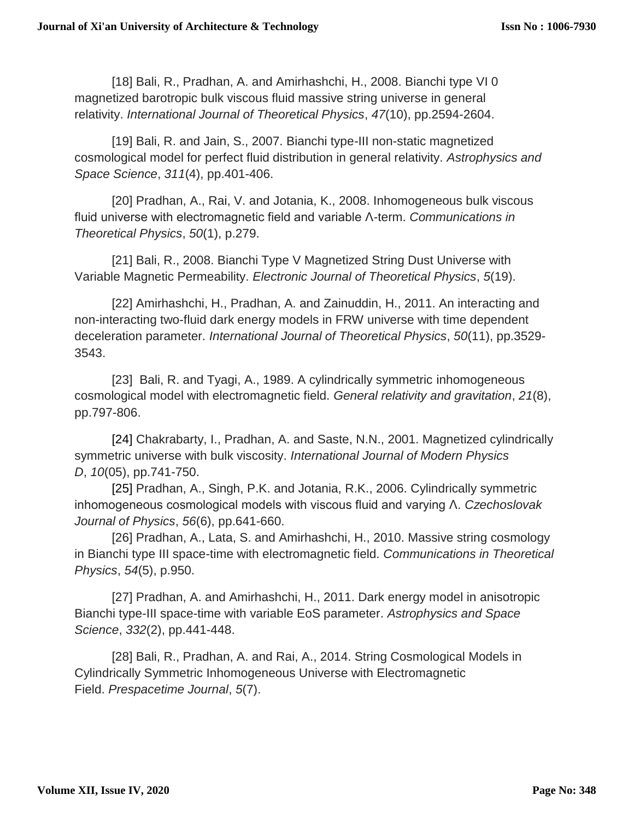[18] Bali, R., Pradhan, A. and Amirhashchi, H., 2008. Bianchi type VI 0 magnetized barotropic bulk viscous fluid massive string universe in general relativity. *International Journal of Theoretical Physics*, *47*(10), pp.2594-2604.

[19] Bali, R. and Jain, S., 2007. Bianchi type-III non-static magnetized cosmological model for perfect fluid distribution in general relativity. *Astrophysics and Space Science*, *311*(4), pp.401-406.

[20] Pradhan, A., Rai, V. and Jotania, K., 2008. Inhomogeneous bulk viscous fluid universe with electromagnetic field and variable Λ-term. *Communications in Theoretical Physics*, *50*(1), p.279.

[21] Bali, R., 2008. Bianchi Type V Magnetized String Dust Universe with Variable Magnetic Permeability. *Electronic Journal of Theoretical Physics*, *5*(19).

[22] Amirhashchi, H., Pradhan, A. and Zainuddin, H., 2011. An interacting and non-interacting two-fluid dark energy models in FRW universe with time dependent deceleration parameter. *International Journal of Theoretical Physics*, *50*(11), pp.3529- 3543.

[23] Bali, R. and Tyagi, A., 1989. A cylindrically symmetric inhomogeneous cosmological model with electromagnetic field. *General relativity and gravitation*, *21*(8), pp.797-806.

[24] Chakrabarty, I., Pradhan, A. and Saste, N.N., 2001. Magnetized cylindrically symmetric universe with bulk viscosity. *International Journal of Modern Physics D*, *10*(05), pp.741-750.

[25] Pradhan, A., Singh, P.K. and Jotania, R.K., 2006. Cylindrically symmetric inhomogeneous cosmological models with viscous fluid and varying Λ. *Czechoslovak Journal of Physics*, *56*(6), pp.641-660.

[26] Pradhan, A., Lata, S. and Amirhashchi, H., 2010. Massive string cosmology in Bianchi type III space-time with electromagnetic field. *Communications in Theoretical Physics*, *54*(5), p.950.

[27] Pradhan, A. and Amirhashchi, H., 2011. Dark energy model in anisotropic Bianchi type-III space-time with variable EoS parameter. *Astrophysics and Space Science*, *332*(2), pp.441-448.

[28] Bali, R., Pradhan, A. and Rai, A., 2014. String Cosmological Models in Cylindrically Symmetric Inhomogeneous Universe with Electromagnetic Field. *Prespacetime Journal*, *5*(7).